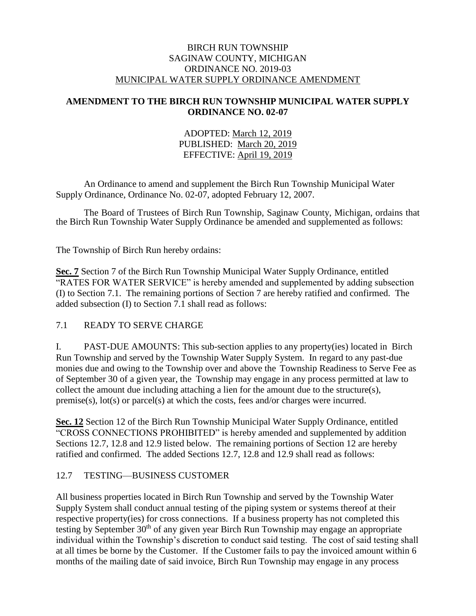## BIRCH RUN TOWNSHIP SAGINAW COUNTY, MICHIGAN ORDINANCE NO. 2019-03 MUNICIPAL WATER SUPPLY ORDINANCE AMENDMENT

## **AMENDMENT TO THE BIRCH RUN TOWNSHIP MUNICIPAL WATER SUPPLY ORDINANCE NO. 02-07**

## ADOPTED: March 12, 2019 PUBLISHED: March 20, 2019 EFFECTIVE: April 19, 2019

An Ordinance to amend and supplement the Birch Run Township Municipal Water Supply Ordinance, Ordinance No. 02-07, adopted February 12, 2007.

The Board of Trustees of Birch Run Township, Saginaw County, Michigan, ordains that the Birch Run Township Water Supply Ordinance be amended and supplemented as follows:

The Township of Birch Run hereby ordains:

**Sec. 7** Section 7 of the Birch Run Township Municipal Water Supply Ordinance, entitled "RATES FOR WATER SERVICE" is hereby amended and supplemented by adding subsection (I) to Section 7.1. The remaining portions of Section 7 are hereby ratified and confirmed. The added subsection (I) to Section 7.1 shall read as follows:

# 7.1 READY TO SERVE CHARGE

I. PAST-DUE AMOUNTS: This sub-section applies to any property(ies) located in Birch Run Township and served by the Township Water Supply System. In regard to any past-due monies due and owing to the Township over and above the Township Readiness to Serve Fee as of September 30 of a given year, the Township may engage in any process permitted at law to collect the amount due including attaching a lien for the amount due to the structure(s), premise(s), lot(s) or parcel(s) at which the costs, fees and/or charges were incurred.

**Sec. 12** Section 12 of the Birch Run Township Municipal Water Supply Ordinance, entitled "CROSS CONNECTIONS PROHIBITED" is hereby amended and supplemented by addition Sections 12.7, 12.8 and 12.9 listed below. The remaining portions of Section 12 are hereby ratified and confirmed. The added Sections 12.7, 12.8 and 12.9 shall read as follows:

# 12.7 TESTING—BUSINESS CUSTOMER

All business properties located in Birch Run Township and served by the Township Water Supply System shall conduct annual testing of the piping system or systems thereof at their respective property(ies) for cross connections. If a business property has not completed this testing by September  $30<sup>th</sup>$  of any given year Birch Run Township may engage an appropriate individual within the Township's discretion to conduct said testing. The cost of said testing shall at all times be borne by the Customer. If the Customer fails to pay the invoiced amount within 6 months of the mailing date of said invoice, Birch Run Township may engage in any process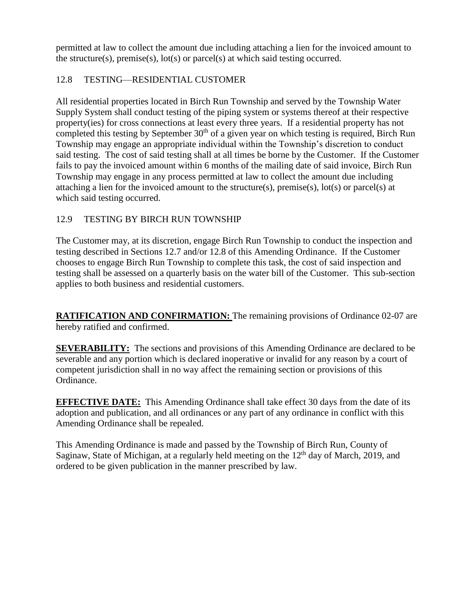permitted at law to collect the amount due including attaching a lien for the invoiced amount to the structure(s), premise(s),  $\text{lot}(s)$  or parcel(s) at which said testing occurred.

# 12.8 TESTING—RESIDENTIAL CUSTOMER

All residential properties located in Birch Run Township and served by the Township Water Supply System shall conduct testing of the piping system or systems thereof at their respective property(ies) for cross connections at least every three years. If a residential property has not completed this testing by September  $30<sup>th</sup>$  of a given year on which testing is required, Birch Run Township may engage an appropriate individual within the Township's discretion to conduct said testing. The cost of said testing shall at all times be borne by the Customer. If the Customer fails to pay the invoiced amount within 6 months of the mailing date of said invoice, Birch Run Township may engage in any process permitted at law to collect the amount due including attaching a lien for the invoiced amount to the structure(s), premise(s), lot(s) or parcel(s) at which said testing occurred.

# 12.9 TESTING BY BIRCH RUN TOWNSHIP

The Customer may, at its discretion, engage Birch Run Township to conduct the inspection and testing described in Sections 12.7 and/or 12.8 of this Amending Ordinance. If the Customer chooses to engage Birch Run Township to complete this task, the cost of said inspection and testing shall be assessed on a quarterly basis on the water bill of the Customer. This sub-section applies to both business and residential customers.

**RATIFICATION AND CONFIRMATION:** The remaining provisions of Ordinance 02-07 are hereby ratified and confirmed.

**SEVERABILITY:** The sections and provisions of this Amending Ordinance are declared to be severable and any portion which is declared inoperative or invalid for any reason by a court of competent jurisdiction shall in no way affect the remaining section or provisions of this Ordinance.

**EFFECTIVE DATE:** This Amending Ordinance shall take effect 30 days from the date of its adoption and publication, and all ordinances or any part of any ordinance in conflict with this Amending Ordinance shall be repealed.

This Amending Ordinance is made and passed by the Township of Birch Run, County of Saginaw, State of Michigan, at a regularly held meeting on the  $12<sup>th</sup>$  day of March, 2019, and ordered to be given publication in the manner prescribed by law.